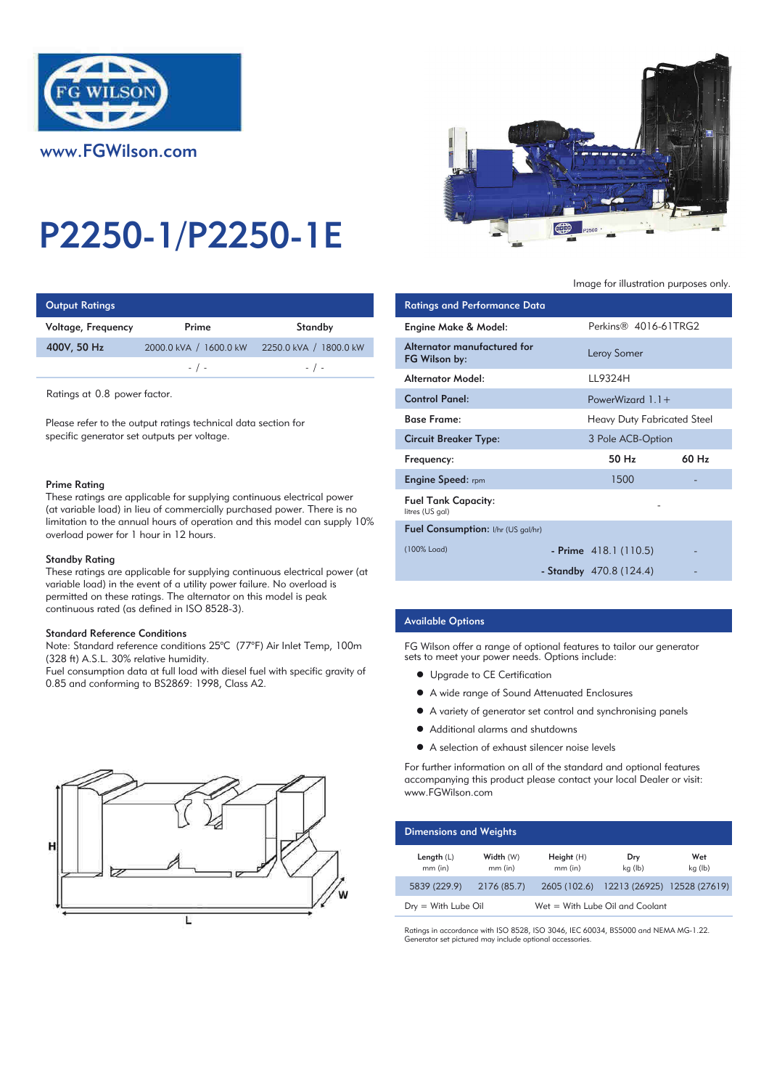



| <b>Output Ratings</b> |                        |                        | <b>Ratings and Performance Data</b> |
|-----------------------|------------------------|------------------------|-------------------------------------|
| Voltage, Frequency    | Prime                  | Standby                | Engine Make & Model:                |
| 400V, 50 Hz           | 2000.0 kVA / 1600.0 kW | 2250.0 kVA / 1800.0 kW | Alternator manufactured for         |
|                       | $-$ / $-$              | $-$ / $-$              | FG Wilson by:                       |
|                       |                        |                        | والمام ماليات متعمر مسمعا ال        |

Ratings at 0.8 power factor.

Please refer to the output ratings technical data section for specific generator set outputs per voltage.

#### Prime Rating

These ratings are applicable for supplying continuous electrical power (at variable load) in lieu of commercially purchased power. There is no limitation to the annual hours of operation and this model can supply 10% overload power for 1 hour in 12 hours.

### Standby Rating

These ratings are applicable for supplying continuous electrical power (at variable load) in the event of a utility power failure. No overload is permitted on these ratings. The alternator on this model is peak continuous rated (as defined in ISO 8528-3).

#### Standard Reference Conditions

Note: Standard reference conditions 25°C (77°F) Air Inlet Temp, 100m (328 ft) A.S.L. 30% relative humidity.

Fuel consumption data at full load with diesel fuel with specific gravity of 0.85 and conforming to BS2869: 1998, Class A2.





Image for illustration purposes only.

| ings                                                                                                                                                                                                                      |                                                                 |                                               | <b>Ratings and Performance Data</b>          |                                    |       |
|---------------------------------------------------------------------------------------------------------------------------------------------------------------------------------------------------------------------------|-----------------------------------------------------------------|-----------------------------------------------|----------------------------------------------|------------------------------------|-------|
| equency                                                                                                                                                                                                                   | Prime                                                           | Standby                                       | Engine Make & Model:                         | Perkins <sup>®</sup> 4016-61TRG2   |       |
| łz                                                                                                                                                                                                                        | 2000.0 kVA / 1600.0 kW                                          | 2250.0 kVA / 1800.0 kW                        | Alternator manufactured for<br>FG Wilson by: | Leroy Somer                        |       |
|                                                                                                                                                                                                                           | $-$ / $-$                                                       | $-$ / $-$                                     | Alternator Model:                            | LL9324H                            |       |
| 0.8 power factor.                                                                                                                                                                                                         |                                                                 |                                               | <b>Control Panel:</b>                        | PowerWizard $1.1+$                 |       |
| r to the output ratings technical data section for                                                                                                                                                                        |                                                                 |                                               | <b>Base Frame:</b>                           | <b>Heavy Duty Fabricated Steel</b> |       |
| erator set outputs per voltage.                                                                                                                                                                                           |                                                                 |                                               | <b>Circuit Breaker Type:</b>                 | 3 Pole ACB-Option                  |       |
|                                                                                                                                                                                                                           |                                                                 |                                               | Frequency:                                   | 50 Hz                              | 60 Hz |
| ٦a                                                                                                                                                                                                                        |                                                                 |                                               | <b>Engine Speed:</b> rpm                     | 1500                               |       |
| gs are applicable for supplying continuous electrical power<br>load) in lieu of commercially purchased power. There is no<br>o the annual hours of operation and this model can supply 10%<br>wer for 1 hour in 12 hours. |                                                                 | <b>Fuel Tank Capacity:</b><br>litres (US gal) |                                              |                                    |       |
|                                                                                                                                                                                                                           |                                                                 |                                               | Fuel Consumption: I/hr (US gal/hr)           |                                    |       |
| ıting                                                                                                                                                                                                                     |                                                                 |                                               | (100% Load)                                  | - Prime $418.1(110.5)$             |       |
|                                                                                                                                                                                                                           | gs are applicable for supplying continuous electrical power (at |                                               |                                              | - Standby $470.8(124.4)$           |       |

# Available Options

FG Wilson offer a range of optional features to tailor our generator sets to meet your power needs. Options include:

- Upgrade to CE Certification
- $\bullet$  A wide range of Sound Attenuated Enclosures
- A variety of generator set control and synchronising panels
- $\bullet$  Additional alarms and shutdowns
- A selection of exhaust silencer noise levels

For further information on all of the standard and optional features accompanying this product please contact your local Dealer or visit: www.FGWilson.com

| <b>Dimensions and Weights</b> |                        |                         |                                   |                |
|-------------------------------|------------------------|-------------------------|-----------------------------------|----------------|
| Length $(L)$<br>$mm$ (in)     | Width (W)<br>$mm$ (in) | Height (H)<br>$mm$ (in) | Dry<br>kg (lb)                    | Wet<br>kg (lb) |
| 5839 (229.9)                  | 2176 (85.7)            | 2605 (102.6)            | 12213 (26925) 12528 (27619)       |                |
| $Dry = With Lube Oil$         |                        |                         | $Wet = With Lube Oil and Coolant$ |                |

Ratings in accordance with ISO 8528, ISO 3046, IEC 60034, BS5000 and NEMA MG-1.22. Generator set pictured may include optional accessories.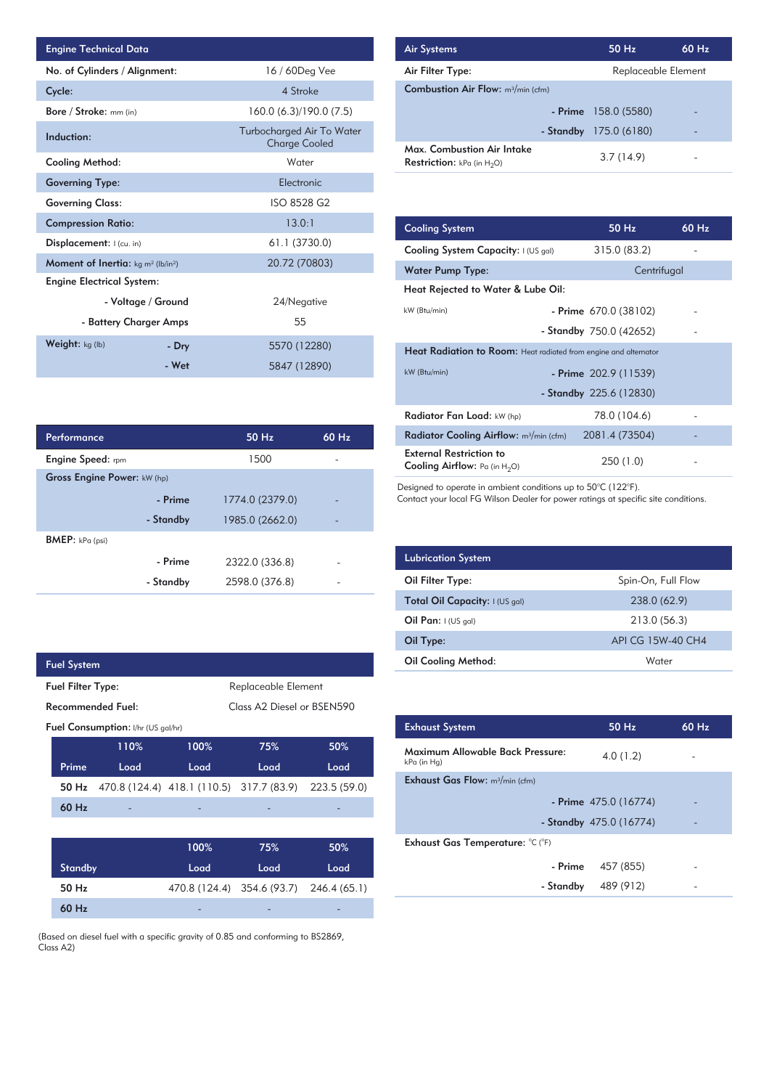| <b>Engine Technical Data</b>                       |                        |                                                   | <b>Air Systems</b>  |
|----------------------------------------------------|------------------------|---------------------------------------------------|---------------------|
| No. of Cylinders / Alignment:                      |                        | 16 / 60Deg Vee                                    | Air Filter Ty       |
| Cycle:                                             |                        | 4 Stroke                                          | Combustion          |
| Bore / Stroke: mm (in)                             |                        | 160.0 (6.3)/190.0 (7.5)                           |                     |
| Induction:                                         |                        | Turbocharged Air To Water<br><b>Charge Cooled</b> | Max. Comb           |
| Cooling Method:                                    |                        | Water                                             | <b>Restriction:</b> |
| <b>Governing Type:</b>                             |                        | Electronic                                        |                     |
| <b>Governing Class:</b>                            |                        | ISO 8528 G2                                       |                     |
| <b>Compression Ratio:</b>                          |                        | 13.0:1                                            | <b>Cooling Sys</b>  |
| Displacement: I (cu. in)                           |                        | 61.1 (3730.0)                                     | <b>Cooling Sys</b>  |
| <b>Moment of Inertia:</b> $kg \, m^2 \, (lb/in^2)$ |                        | 20.72 (70803)                                     | <b>Water Pum</b>    |
| <b>Engine Electrical System:</b>                   |                        |                                                   | <b>Heat Reject</b>  |
|                                                    | - Voltage / Ground     | 24/Negative                                       |                     |
|                                                    | - Battery Charger Amps | 55                                                | kW (Btu/min)        |
| Weight: kg (lb)                                    | - Dry                  | 5570 (12280)                                      | <b>Heat Radia</b>   |
|                                                    | - Wet                  | 5847 (12890)                                      | kW (Btu/min)        |

| Performance                 |           | 50 Hz           | 60 Hz |
|-----------------------------|-----------|-----------------|-------|
| Engine Speed: rpm           |           | 1500            |       |
| Gross Engine Power: kW (hp) |           |                 |       |
|                             | - Prime   | 1774.0 (2379.0) |       |
|                             | - Standby | 1985.0 (2662.0) |       |
| <b>BMEP:</b> $kPa$ (psi)    |           |                 |       |
|                             | - Prime   | 2322.0 (336.8)  |       |
|                             | - Standby | 2598.0 (376.8)  |       |

 $\overline{\phantom{a}}$ 

| <b>Fuel System</b>       |                                           |                                          |                            |              |  |
|--------------------------|-------------------------------------------|------------------------------------------|----------------------------|--------------|--|
| <b>Fuel Filter Type:</b> |                                           |                                          | Replaceable Element        |              |  |
| <b>Recommended Fuel:</b> |                                           |                                          | Class A2 Diesel or BSEN590 |              |  |
|                          | <b>Fuel Consumption:</b> I/hr (US gal/hr) |                                          |                            |              |  |
|                          | 110%                                      | 100%                                     | 75%                        | 50%          |  |
| Prime                    | Load                                      | Load                                     | Load                       | Load         |  |
| 50 Hz                    |                                           | 470.8 (124.4) 418.1 (110.5) 317.7 (83.9) |                            | 223.5 (59.0) |  |
| $60$ Hz                  |                                           |                                          |                            |              |  |
|                          |                                           |                                          |                            |              |  |
|                          |                                           | 100%                                     | 75%                        | 50%          |  |
| <b>Standby</b>           |                                           | Load                                     | Load                       | Load         |  |
| 50 Hz                    |                                           |                                          | 470.8 (124.4) 354.6 (93.7) | 246.4 (65.1) |  |
| $60$ Hz                  |                                           |                                          |                            |              |  |

(Based on diesel fuel with a specific gravity of 0.85 and conforming to BS2869, Class A2)

| <b>Air Systems</b>                                                 | 50 Hz                  | $60$ Hz |
|--------------------------------------------------------------------|------------------------|---------|
| Air Filter Type:                                                   | Replaceable Element    |         |
| <b>Combustion Air Flow:</b> m <sup>3</sup> /min (cfm)              |                        |         |
|                                                                    | $-$ Prime 158.0 (5580) |         |
| - Standby                                                          | 175.0 (6180)           |         |
| Max. Combustion Air Intake<br><b>Restriction:</b> kPa (in $H_2O$ ) | 3.7(14.9)              |         |

| 13.0:1         | <b>Cooling System</b>                                                     | 50 Hz                   | 60 Hz |
|----------------|---------------------------------------------------------------------------|-------------------------|-------|
| 61.1 (3730.0)  | Cooling System Capacity: I (US gal)                                       | 315.0 (83.2)            |       |
| 20.72 (70803)  | <b>Water Pump Type:</b>                                                   | Centrifugal             |       |
|                | Heat Rejected to Water & Lube Oil:                                        |                         |       |
| 24/Negative    | kW (Btu/min)                                                              | - Prime $670.0(38102)$  |       |
| 55             |                                                                           | - Standby 750.0 (42652) |       |
| 5570 (12280)   | <b>Heat Radiation to Room:</b> Heat radiated from engine and alternator   |                         |       |
| 5847 (12890)   | kW (Btu/min)                                                              | - Prime $202.9(11539)$  |       |
|                |                                                                           | - Standby 225.6 (12830) |       |
|                | Radiator Fan Load: kW (hp)                                                | 78.0 (104.6)            |       |
| 50 Hz<br>60 Hz | Radiator Cooling Airflow: m <sup>3</sup> /min (cfm)                       | 2081.4 (73504)          |       |
| 1500           | <b>External Restriction to</b><br><b>Cooling Airflow:</b> Pa (in $H_2O$ ) | 250 (1.0)               |       |

Designed to operate in ambient conditions up to 50°C (122°F).

Contact your local FG Wilson Dealer for power ratings at specific site conditions.

| <b>Lubrication System</b>      |                    |
|--------------------------------|--------------------|
| Oil Filter Type:               | Spin-On, Full Flow |
| Total Oil Capacity: I (US gal) | 238.0 (62.9)       |
| Oil Pan: $I (US gal)$          | 213.0 (56.3)       |
| Oil Type:                      | API CG 15W-40 CH4  |
| <b>Oil Cooling Method:</b>     | Water              |

| <b>Exhaust System</b>                           | 50 Hz                   | 60 Hz |
|-------------------------------------------------|-------------------------|-------|
| Maximum Allowable Back Pressure:<br>kPa (in Hg) | 4.0(1.2)                |       |
| <b>Exhaust Gas Flow:</b> $m^3/m$ in (cfm)       |                         |       |
|                                                 | - Prime $475.0(16774)$  |       |
|                                                 | - Standby 475.0 (16774) |       |
| Exhaust Gas Temperature: °C (°F)                |                         |       |
| - Prime                                         | 457 (855)               |       |
| - Standby                                       | 489 (912)               |       |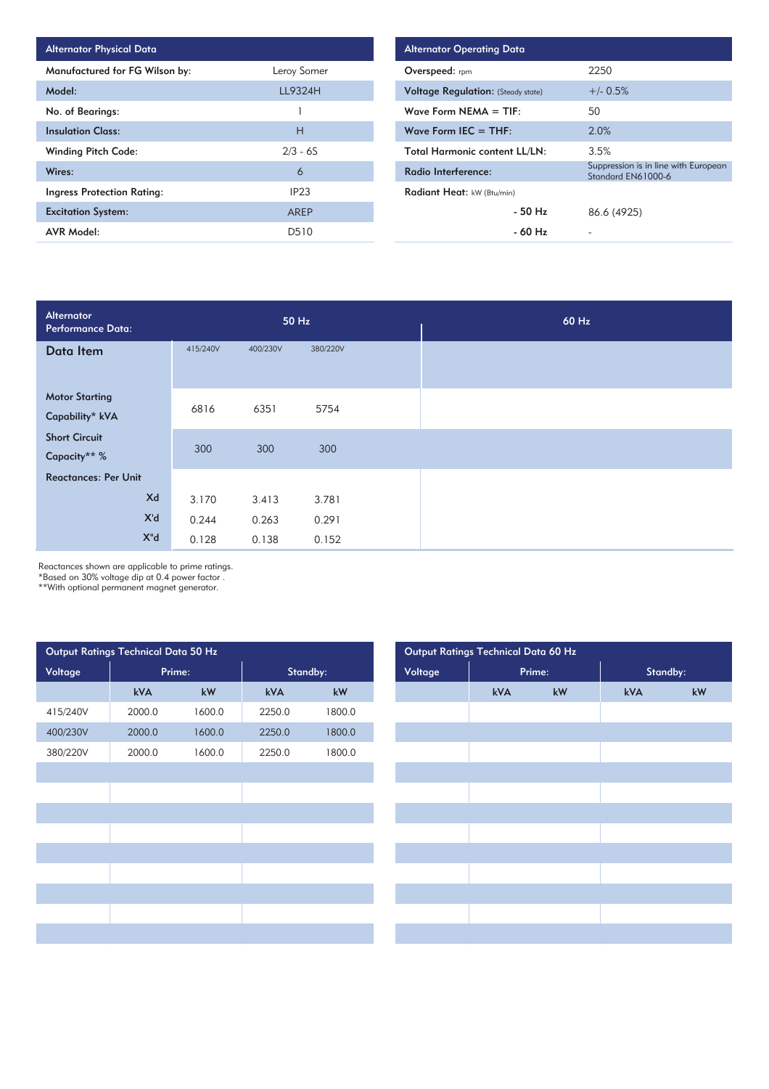| <b>Alternator Physical Data</b>   |                  |
|-----------------------------------|------------------|
| Manufactured for FG Wilson by:    | Leroy Somer      |
| Model:                            | LL9324H          |
| No. of Bearings:                  |                  |
| <b>Insulation Class:</b>          | н                |
| <b>Winding Pitch Code:</b>        | $2/3 - 6S$       |
| Wires:                            | 6                |
| <b>Ingress Protection Rating:</b> | IP <sub>23</sub> |
| <b>Excitation System:</b>         | AREP             |
| <b>AVR Model:</b>                 | D510             |

| <b>Alternator Operating Data</b>          |                                                            |
|-------------------------------------------|------------------------------------------------------------|
| <b>Overspeed:</b> rpm                     | 2250                                                       |
| <b>Voltage Regulation:</b> (Steady state) | $+/- 0.5%$                                                 |
| Wave Form NEMA $=$ TIF:                   | 50                                                         |
| Wave Form IEC $=$ THF:                    | 2.0%                                                       |
| <b>Total Harmonic content LL/LN:</b>      | 3.5%                                                       |
| Radio Interference:                       | Suppression is in line with European<br>Standard EN61000-6 |
| Radiant Heat: kW (Btu/min)                |                                                            |
| $-50$ Hz                                  | 86.6 (4925)                                                |
| - 60 Hz                                   |                                                            |

| Alternator<br>Performance Data:          |          |          | 50 Hz    | 60 Hz |
|------------------------------------------|----------|----------|----------|-------|
| Data Item                                | 415/240V | 400/230V | 380/220V |       |
| <b>Motor Starting</b><br>Capability* kVA | 6816     | 6351     | 5754     |       |
| <b>Short Circuit</b><br>Capacity** %     | 300      | 300      | 300      |       |
| <b>Reactances: Per Unit</b>              |          |          |          |       |
| Xd                                       | 3.170    | 3.413    | 3.781    |       |
| X'd                                      | 0.244    | 0.263    | 0.291    |       |
| X"d                                      | 0.128    | 0.138    | 0.152    |       |

Reactances shown are applicable to prime ratings.

\*Based on 30% voltage dip at 0.4 power factor .

\*\*With optional permanent magnet generator.

| Output Ratings Technical Data 50 Hz |        |        |        |          |
|-------------------------------------|--------|--------|--------|----------|
| Voltage                             |        | Prime: |        | Standby: |
|                                     | kVA    | kW     | kVA    | kW       |
| 415/240V                            | 2000.0 | 1600.0 | 2250.0 | 1800.0   |
| 400/230V                            | 2000.0 | 1600.0 | 2250.0 | 1800.0   |
| 380/220V                            | 2000.0 | 1600.0 | 2250.0 | 1800.0   |
|                                     |        |        |        |          |
|                                     |        |        |        |          |
|                                     |        |        |        |          |
|                                     |        |        |        |          |
|                                     |        |        |        |          |
|                                     |        |        |        |          |
|                                     |        |        |        |          |
|                                     |        |        |        |          |
|                                     |        |        |        |          |